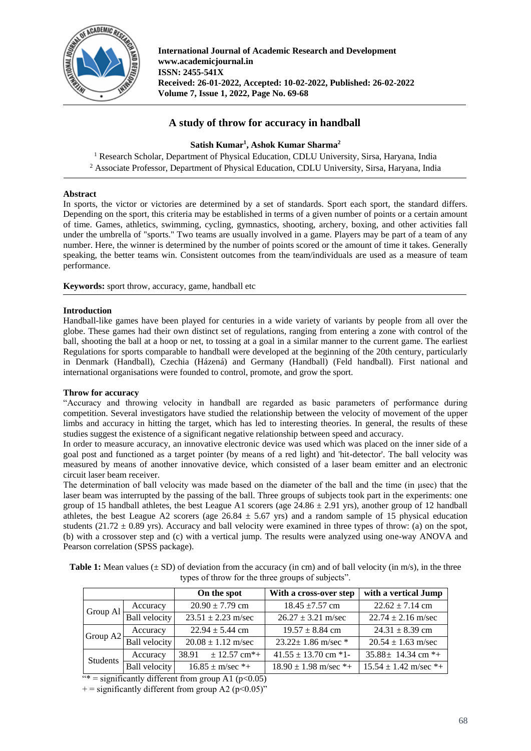

**International Journal of Academic Research and Development www.academicjournal.in ISSN: 2455-541X Received: 26-01-2022, Accepted: 10-02-2022, Published: 26-02-2022 Volume 7, Issue 1, 2022, Page No. 69-68**

# **A study of throw for accuracy in handball**

**Satish Kumar<sup>1</sup> , Ashok Kumar Sharma<sup>2</sup>**

<sup>1</sup> Research Scholar, Department of Physical Education, CDLU University, Sirsa, Haryana, India <sup>2</sup> Associate Professor, Department of Physical Education, CDLU University, Sirsa, Haryana, India

## **Abstract**

In sports, the victor or victories are determined by a set of standards. Sport each sport, the standard differs. Depending on the sport, this criteria may be established in terms of a given number of points or a certain amount of time. Games, athletics, swimming, cycling, gymnastics, shooting, archery, boxing, and other activities fall under the umbrella of "sports." Two teams are usually involved in a game. Players may be part of a team of any number. Here, the winner is determined by the number of points scored or the amount of time it takes. Generally speaking, the better teams win. Consistent outcomes from the team/individuals are used as a measure of team performance.

**Keywords:** sport throw, accuracy, game, handball etc

## **Introduction**

Handball-like games have been played for centuries in a wide variety of variants by people from all over the globe. These games had their own distinct set of regulations, ranging from entering a zone with control of the ball, shooting the ball at a hoop or net, to tossing at a goal in a similar manner to the current game. The earliest Regulations for sports comparable to handball were developed at the beginning of the 20th century, particularly in Denmark (Handball), Czechia (Házená) and Germany (Handball) (Feld handball). First national and international organisations were founded to control, promote, and grow the sport.

#### **Throw for accuracy**

"Accuracy and throwing velocity in handball are regarded as basic parameters of performance during competition. Several investigators have studied the relationship between the velocity of movement of the upper limbs and accuracy in hitting the target, which has led to interesting theories. In general, the results of these studies suggest the existence of a significant negative relationship between speed and accuracy.

In order to measure accuracy, an innovative electronic device was used which was placed on the inner side of a goal post and functioned as a target pointer (by means of a red light) and 'hit-detector'. The ball velocity was measured by means of another innovative device, which consisted of a laser beam emitter and an electronic circuit laser beam receiver.

The determination of ball velocity was made based on the diameter of the ball and the time (in μsec) that the laser beam was interrupted by the passing of the ball. Three groups of subjects took part in the experiments: one group of 15 handball athletes, the best League A1 scorers (age  $24.86 \pm 2.91$  yrs), another group of 12 handball athletes, the best League A2 scorers (age  $26.84 \pm 5.67$  yrs) and a random sample of 15 physical education students (21.72  $\pm$  0.89 yrs). Accuracy and ball velocity were examined in three types of throw: (a) on the spot, (b) with a crossover step and (c) with a vertical jump. The results were analyzed using one-way ANOVA and Pearson correlation (SPSS package).

**Table 1:** Mean values  $(\pm SD)$  of deviation from the accuracy (in cm) and of ball velocity (in m/s), in the three types of throw for the three groups of subjects".

|          |                      | On the spot                       | With a cross-over step      | with a vertical Jump      |
|----------|----------------------|-----------------------------------|-----------------------------|---------------------------|
| Group Al | Accuracy             | $20.90 \pm 7.79$ cm               | $18.45 \pm 7.57$ cm         | $22.62 \pm 7.14$ cm       |
|          | <b>Ball</b> velocity | $23.51 \pm 2.23$ m/sec            | $26.27 \pm 3.21$ m/sec      | $22.74 \pm 2.16$ m/sec    |
| Group A2 | Accuracy             | $22.94 \pm 5.44$ cm               | $19.57 \pm 8.84$ cm         | $24.31 \pm 8.39$ cm       |
|          | <b>Ball</b> velocity | $20.08 \pm 1.12$ m/sec            | $23.22 \pm 1.86$ m/sec *    | $20.54 \pm 1.63$ m/sec    |
| Students | Accuracy             | $38.91 + 12.57$ cm <sup>*</sup> + | $41.55 \pm 13.70$ cm $*1$ - | $35.88 \pm 14.34$ cm *+   |
|          | <b>Ball</b> velocity | $16.85 \pm m/sec$ *+              | $18.90 \pm 1.98$ m/sec *+   | $15.54 \pm 1.42$ m/sec *+ |

"\* = significantly different from group A1 ( $p<0.05$ )

 $+=$  significantly different from group A2 (p<0.05)"